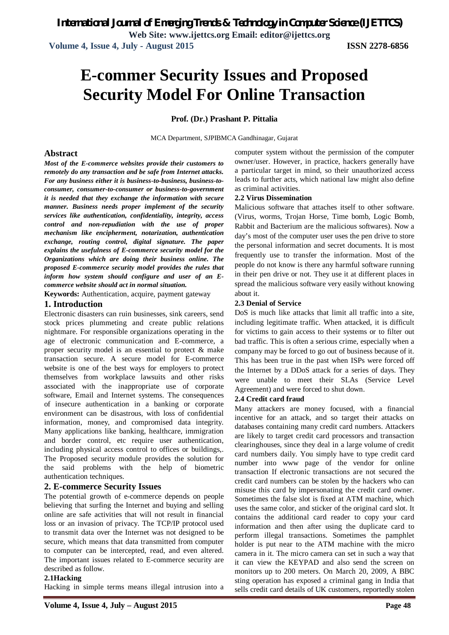# **E-commer Security Issues and Proposed Security Model For Online Transaction**

### **Prof. (Dr.) Prashant P. Pittalia**

MCA Department, SJPIBMCA Gandhinagar, Gujarat

### **Abstract**

*Most of the E-commerce websites provide their customers to remotely do any transaction and be safe from Internet attacks. For any business either it is business-to-business, business-toconsumer, consumer-to-consumer or business-to-government it is needed that they exchange the information with secure manner. Business needs proper implement of the security services like authentication, confidentiality, integrity, access control and non-repudiation with the use of proper mechanism like encipherment, notarization, authentication exchange, routing control, digital signature. The paper explains the usefulness of E-commerce security model for the Organizations which are doing their business online. The proposed E-commerce security model provides the rules that inform how system should configure and user of an Ecommerce website should act in normal situation.* 

**Keywords:** Authentication, acquire, payment gateway

### **1. Introduction**

Electronic disasters can ruin businesses, sink careers, send stock prices plummeting and create public relations nightmare. For responsible organizations operating in the age of electronic communication and E-commerce, a proper security model is an essential to protect & make transaction secure. A secure model for E-commerce website is one of the best ways for employers to protect themselves from workplace lawsuits and other risks associated with the inappropriate use of corporate software, Email and Internet systems. The consequences of insecure authentication in a banking or corporate environment can be disastrous, with loss of confidential information, money, and compromised data integrity. Many applications like banking, healthcare, immigration and border control, etc require user authentication, including physical access control to offices or buildings,. The Proposed security module provides the solution for the said problems with the help of biometric authentication techniques.

### **2. E-commerce Security Issues**

The potential growth of e-commerce depends on people believing that surfing the Internet and buying and selling online are safe activities that will not result in financial loss or an invasion of privacy. The TCP/IP protocol used to transmit data over the Internet was not designed to be secure, which means that data transmitted from computer to computer can be intercepted, read, and even altered. The important issues related to E-commerce security are described as follow.

#### **2.1Hacking**

Hacking in simple terms means illegal intrusion into a

computer system without the permission of the computer owner/user. However, in practice, hackers generally have a particular target in mind, so their unauthorized access leads to further acts, which national law might also define as criminal activities.

### **2.2 Virus Dissemination**

Malicious software that attaches itself to other software. (Virus, worms, Trojan Horse, Time bomb, Logic Bomb, Rabbit and Bacterium are the malicious softwares). Now a day's most of the computer user uses the pen drive to store the personal information and secret documents. It is most frequently use to transfer the information. Most of the people do not know is there any harmful software running in their pen drive or not. They use it at different places in spread the malicious software very easily without knowing about it.

### **2.3 Denial of Service**

DoS is much like attacks that limit all traffic into a site, including legitimate traffic. When attacked, it is difficult for victims to gain access to their systems or to filter out bad traffic. This is often a serious crime, especially when a company may be forced to go out of business because of it. This has been true in the past when ISPs were forced off the Internet by a DDoS attack for a series of days. They were unable to meet their SLAs (Service Level Agreement) and were forced to shut down.

### **2.4 Credit card fraud**

Many attackers are money focused, with a financial incentive for an attack, and so target their attacks on databases containing many credit card numbers. Attackers are likely to target credit card processors and transaction clearinghouses, since they deal in a large volume of credit card numbers daily. You simply have to type credit card number into www page of the vendor for online transaction If electronic transactions are not secured the credit card numbers can be stolen by the hackers who can misuse this card by impersonating the credit card owner. Sometimes the false slot is fixed at ATM machine, which uses the same color, and sticker of the original card slot. It contains the additional card reader to copy your card information and then after using the duplicate card to perform illegal transactions. Sometimes the pamphlet holder is put near to the ATM machine with the micro camera in it. The micro camera can set in such a way that it can view the KEYPAD and also send the screen on monitors up to 200 meters. On March 20, 2009, A BBC sting operation has exposed a criminal gang in India that sells credit card details of UK customers, reportedly stolen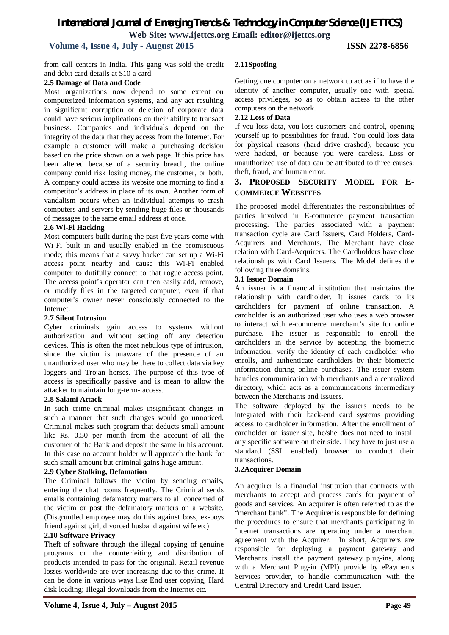## *International Journal of Emerging Trends & Technology in Computer Science (IJETTCS)* **Web Site: www.ijettcs.org Email: editor@ijettcs.org**

 **Volume 4, Issue 4, July - August 2015 ISSN 2278-6856**

from call centers in India. This gang was sold the credit and debit card details at \$10 a card.

### **2.5 Damage of Data and Code**

Most organizations now depend to some extent on computerized information systems, and any act resulting in significant corruption or deletion of corporate data could have serious implications on their ability to transact business. Companies and individuals depend on the integrity of the data that they access from the Internet. For example a customer will make a purchasing decision based on the price shown on a web page. If this price has been altered because of a security breach, the online company could risk losing money, the customer, or both. A company could access its website one morning to find a competitor's address in place of its own. Another form of vandalism occurs when an individual attempts to crash computers and servers by sending huge files or thousands of messages to the same email address at once.

### **2.6 Wi-Fi Hacking**

Most computers built during the past five years come with Wi-Fi built in and usually enabled in the promiscuous mode; this means that a savvy hacker can set up a Wi-Fi access point nearby and cause this Wi-Fi enabled computer to dutifully connect to that rogue access point. The access point's operator can then easily add, remove, or modify files in the targeted computer, even if that computer's owner never consciously connected to the Internet.

### **2.7 Silent Intrusion**

Cyber criminals gain access to systems without authorization and without setting off any detection devices. This is often the most nebulous type of intrusion, since the victim is unaware of the presence of an unauthorized user who may be there to collect data via key loggers and Trojan horses. The purpose of this type of access is specifically passive and is mean to allow the attacker to maintain long-term- access.

### **2.8 Salami Attack**

In such crime criminal makes insignificant changes in such a manner that such changes would go unnoticed. Criminal makes such program that deducts small amount like Rs. 0.50 per month from the account of all the customer of the Bank and deposit the same in his account. In this case no account holder will approach the bank for such small amount but criminal gains huge amount.

### **2.9 Cyber Stalking, Defamation**

The Criminal follows the victim by sending emails, entering the chat rooms frequently. The Criminal sends emails containing defamatory matters to all concerned of the victim or post the defamatory matters on a website. (Disgruntled employee may do this against boss, ex-boys friend against girl, divorced husband against wife etc)

### **2.10 Software Privacy**

Theft of software through the illegal copying of genuine programs or the counterfeiting and distribution of products intended to pass for the original. Retail revenue losses worldwide are ever increasing due to this crime. It can be done in various ways like End user copying, Hard disk loading; Illegal downloads from the Internet etc.

### **2.11Spoofing**

Getting one computer on a network to act as if to have the identity of another computer, usually one with special access privileges, so as to obtain access to the other computers on the network.

### **2.12 Loss of Data**

If you loss data, you loss customers and control, opening yourself up to possibilities for fraud. You could loss data for physical reasons (hard drive crashed), because you were hacked, or because you were careless. Loss or unauthorized use of data can be attributed to three causes: theft, fraud, and human error.

### **3. PROPOSED SECURITY MODEL FOR E-COMMERCE WEBSITES**

The proposed model differentiates the responsibilities of parties involved in E-commerce payment transaction processing. The parties associated with a payment transaction cycle are Card Issuers, Card Holders, Card-Acquirers and Merchants. The Merchant have close relation with Card-Acquirers. The Cardholders have close relationships with Card Issuers. The Model defines the following three domains.

### **3.1 Issuer Domain**

An issuer is a financial institution that maintains the relationship with cardholder. It issues cards to its cardholders for payment of online transaction. A cardholder is an authorized user who uses a web browser to interact with e-commerce merchant's site for online purchase. The issuer is responsible to enroll the cardholders in the service by accepting the biometric information; verify the identity of each cardholder who enrolls, and authenticate cardholders by their biometric information during online purchases. The issuer system handles communication with merchants and a centralized directory, which acts as a communications intermediary between the Merchants and Issuers.

The software deployed by the issuers needs to be integrated with their back-end card systems providing access to cardholder information. After the enrollment of cardholder on issuer site, he/she does not need to install any specific software on their side. They have to just use a standard (SSL enabled) browser to conduct their transactions.

### **3.2Acquirer Domain**

An acquirer is a financial institution that contracts with merchants to accept and process cards for payment of goods and services. An acquirer is often referred to as the "merchant bank". The Acquirer is responsible for defining the procedures to ensure that merchants participating in Internet transactions are operating under a merchant agreement with the Acquirer. In short, Acquirers are responsible for deploying a payment gateway and Merchants install the payment gateway plug-ins, along with a Merchant Plug-in (MPI) provide by ePayments Services provider, to handle communication with the Central Directory and Credit Card Issuer.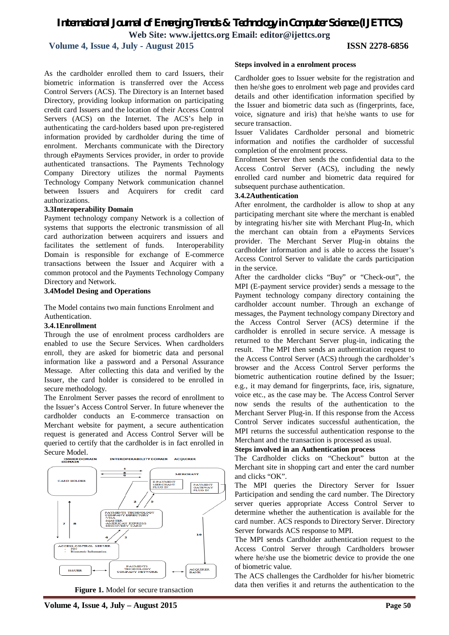### *International Journal of Emerging Trends & Technology in Computer Science (IJETTCS)* **Web Site: www.ijettcs.org Email: editor@ijettcs.org**

 **Volume 4, Issue 4, July - August 2015 ISSN 2278-6856**

As the cardholder enrolled them to card Issuers, their biometric information is transferred over the Access Control Servers (ACS). The Directory is an Internet based Directory, providing lookup information on participating credit card Issuers and the location of their Access Control Servers (ACS) on the Internet. The ACS's help in authenticating the card-holders based upon pre-registered information provided by cardholder during the time of enrolment. Merchants communicate with the Directory through ePayments Services provider, in order to provide authenticated transactions. The Payments Technology Company Directory utilizes the normal Payments Technology Company Network communication channel between Issuers and Acquirers for credit card authorizations.

### **3.3Interoperability Domain**

Payment technology company Network is a collection of systems that supports the electronic transmission of all card authorization between acquirers and issuers and facilitates the settlement of funds. Interoperability Domain is responsible for exchange of E-commerce transactions between the Issuer and Acquirer with a common protocol and the Payments Technology Company Directory and Network.

#### **3.4Model Desing and Operations**

The Model contains two main functions Enrolment and

### Authentication. **3.4.1Enrollment**

Through the use of enrolment process cardholders are enabled to use the Secure Services. When cardholders enroll, they are asked for biometric data and personal information like a password and a Personal Assurance Message. After collecting this data and verified by the Issuer, the card holder is considered to be enrolled in secure methodology.

The Enrolment Server passes the record of enrollment to the Issuer's Access Control Server. In future whenever the cardholder conducts an E-commerce transaction on Merchant website for payment, a secure authentication request is generated and Access Control Server will be queried to certify that the cardholder is in fact enrolled in Secure Model.<br>BOMAIN



**Figure 1.** Model for secure transaction

### **Steps involved in a enrolment process**

Cardholder goes to Issuer website for the registration and then he/she goes to enrolment web page and provides card details and other identification information specified by the Issuer and biometric data such as (fingerprints, face, voice, signature and iris) that he/she wants to use for secure transaction.

Issuer Validates Cardholder personal and biometric information and notifies the cardholder of successful completion of the enrolment process.

Enrolment Server then sends the confidential data to the Access Control Server (ACS), including the newly enrolled card number and biometric data required for subsequent purchase authentication.

### **3.4.2Authentication**

After enrolment, the cardholder is allow to shop at any participating merchant site where the merchant is enabled by integrating his/her site with Merchant Plug-In, which the merchant can obtain from a ePayments Services provider. The Merchant Server Plug-in obtains the cardholder information and is able to access the Issuer's Access Control Server to validate the cards participation in the service.

After the cardholder clicks "Buy" or "Check-out", the MPI (E-payment service provider) sends a message to the Payment technology company directory containing the cardholder account number. Through an exchange of messages, the Payment technology company Directory and the Access Control Server (ACS) determine if the cardholder is enrolled in secure service. A message is returned to the Merchant Server plug-in, indicating the result. The MPI then sends an authentication request to the Access Control Server (ACS) through the cardholder's browser and the Access Control Server performs the biometric authentication routine defined by the Issuer; e.g., it may demand for fingerprints, face, iris, signature, voice etc., as the case may be. The Access Control Server now sends the results of the authentication to the Merchant Server Plug-in. If this response from the Access Control Server indicates successful authentication, the MPI returns the successful authentication response to the Merchant and the transaction is processed as usual.

### **Steps involved in an Authentication process**

The Cardholder clicks on "Checkout" button at the Merchant site in shopping cart and enter the card number and clicks "OK".

The MPI queries the Directory Server for Issuer Participation and sending the card number. The Directory server queries appropriate Access Control Server to determine whether the authentication is available for the card number. ACS responds to Directory Server. Directory Server forwards ACS response to MPI.

The MPI sends Cardholder authentication request to the Access Control Server through Cardholders browser where he/she use the biometric device to provide the one of biometric value.

The ACS challenges the Cardholder for his/her biometric data then verifies it and returns the authentication to the